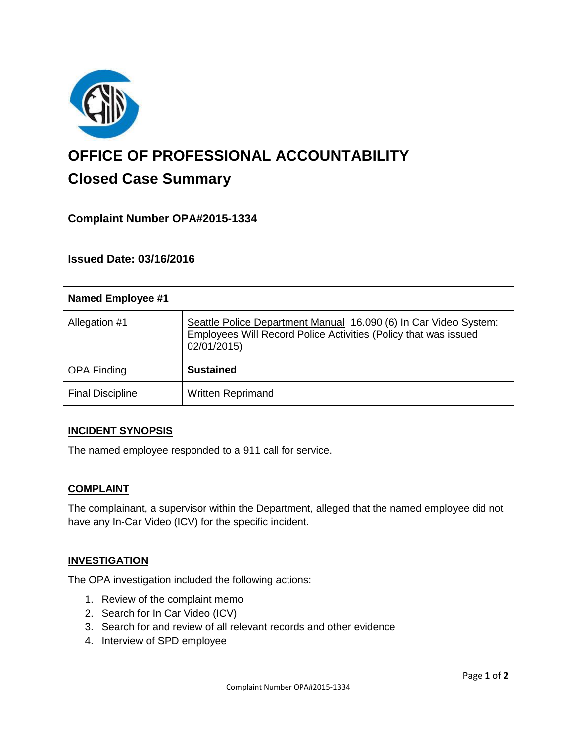

# **OFFICE OF PROFESSIONAL ACCOUNTABILITY Closed Case Summary**

## **Complaint Number OPA#2015-1334**

**Issued Date: 03/16/2016**

| <b>Named Employee #1</b> |                                                                                                                                                    |
|--------------------------|----------------------------------------------------------------------------------------------------------------------------------------------------|
| Allegation #1            | Seattle Police Department Manual 16.090 (6) In Car Video System:<br>Employees Will Record Police Activities (Policy that was issued<br>02/01/2015) |
| <b>OPA Finding</b>       | <b>Sustained</b>                                                                                                                                   |
| <b>Final Discipline</b>  | <b>Written Reprimand</b>                                                                                                                           |

#### **INCIDENT SYNOPSIS**

The named employee responded to a 911 call for service.

#### **COMPLAINT**

The complainant, a supervisor within the Department, alleged that the named employee did not have any In-Car Video (ICV) for the specific incident.

#### **INVESTIGATION**

The OPA investigation included the following actions:

- 1. Review of the complaint memo
- 2. Search for In Car Video (ICV)
- 3. Search for and review of all relevant records and other evidence
- 4. Interview of SPD employee